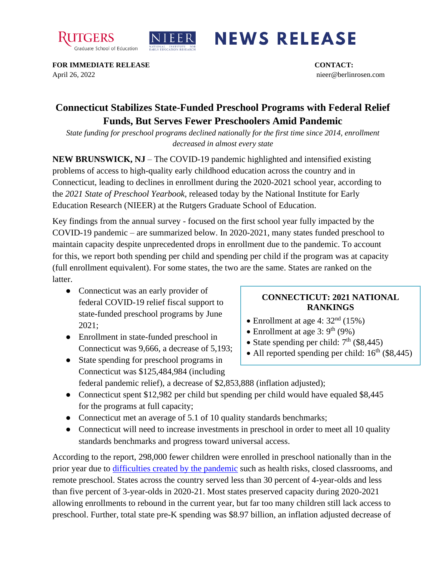



## **NEWS RELEASE**

**FOR IMMEDIATE RELEASE CONTACT:**  April 26, 2022 nieer@berlinrosen.com

## **Connecticut Stabilizes State-Funded Preschool Programs with Federal Relief Funds, But Serves Fewer Preschoolers Amid Pandemic**

*State funding for preschool programs declined nationally for the first time since 2014, enrollment decreased in almost every state*

**NEW BRUNSWICK, NJ** – The COVID-19 pandemic highlighted and intensified existing problems of access to high-quality early childhood education across the country and in Connecticut, leading to declines in enrollment during the 2020-2021 school year, according to the *2021 State of Preschool Yearbook,* released today by the National Institute for Early Education Research (NIEER) at the Rutgers Graduate School of Education.

Key findings from the annual survey - focused on the first school year fully impacted by the COVID-19 pandemic – are summarized below. In 2020-2021, many states funded preschool to maintain capacity despite unprecedented drops in enrollment due to the pandemic. To account for this, we report both spending per child and spending per child if the program was at capacity (full enrollment equivalent). For some states, the two are the same. States are ranked on the latter.

- Connecticut was an early provider of federal COVID-19 relief fiscal support to state-funded preschool programs by June 2021;
- Enrollment in state-funded preschool in Connecticut was 9,666, a decrease of 5,193;
- State spending for preschool programs in Connecticut was \$125,484,984 (including

## **CONNECTICUT: 2021 NATIONAL RANKINGS**

- Enrollment at age 4:  $32<sup>nd</sup>$  (15%)
- Enrollment at age  $3: 9<sup>th</sup> (9%)$
- State spending per child:  $7<sup>th</sup>$  (\$8,445)
- All reported spending per child:  $16^{th}$  (\$8,445)
- federal pandemic relief), a decrease of \$2,853,888 (inflation adjusted);
- Connecticut spent \$12,982 per child but spending per child would have equaled \$8,445 for the programs at full capacity;
- Connecticut met an average of 5.1 of 10 quality standards benchmarks;
- Connecticut will need to increase investments in preschool in order to meet all 10 quality standards benchmarks and progress toward universal access.

According to the report, 298,000 fewer children were enrolled in preschool nationally than in the prior year due to [difficulties created by the pandemic](https://nieer.org/wp-content/uploads/2021/02/NIEER_Seven_Impacts_of_the_Pandemic_on_Young_Children_and_their_Parents.pdf) such as health risks, closed classrooms, and remote preschool. States across the country served less than 30 percent of 4-year-olds and less than five percent of 3-year-olds in 2020-21. Most states preserved capacity during 2020-2021 allowing enrollments to rebound in the current year, but far too many children still lack access to preschool. Further, total state pre-K spending was \$8.97 billion, an inflation adjusted decrease of